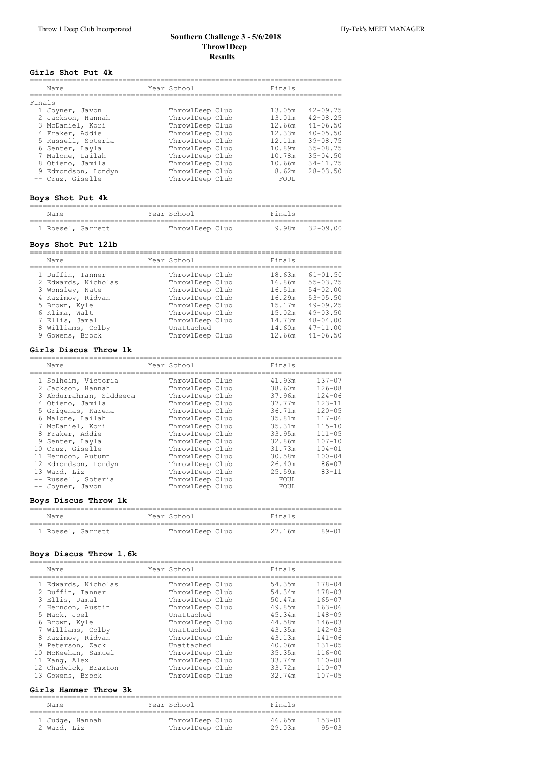### **Southern Challenge 3 ‑ 5/6/2018 Throw1Deep Results**

## **Girls Shot Put 4k**

|        | Name                | Year School     | Finals |              |
|--------|---------------------|-----------------|--------|--------------|
| Finals |                     |                 |        |              |
|        | 1 Joyner, Javon     | ThrowlDeep Club | 13.05m | $42 - 09.75$ |
|        | 2 Jackson, Hannah   | ThrowlDeep Club | 13.01m | $42 - 08.25$ |
|        | 3 McDaniel, Kori    | ThrowlDeep Club | 12.66m | $41 - 06.50$ |
|        | 4 Fraker, Addie     | ThrowlDeep Club | 12.33m | $40 - 05.50$ |
|        | 5 Russell, Soteria  | ThrowlDeep Club | 12.11m | $39 - 08.75$ |
|        | 6 Senter, Layla     | ThrowlDeep Club | 10.89m | $35 - 08.75$ |
|        | 7 Malone, Lailah    | ThrowlDeep Club | 10.78m | $35 - 04.50$ |
|        | 8 Otieno, Jamila    | ThrowlDeep Club | 10.66m | $34 - 11.75$ |
|        | 9 Edmondson, Londyn | ThrowlDeep Club | 8.62m  | $28 - 03.50$ |
|        | -- Cruz. Giselle    | ThrowlDeep Club | FOUL.  |              |

# **Boys Shot Put 4k**

| Name              | Year School     | Finals         |
|-------------------|-----------------|----------------|
| 1 Roesel, Garrett | ThrowlDeep Club | 9.98m 32-09.00 |

# **Boys Shot Put 12lb**

| Name                | Year School     | Finals |              |
|---------------------|-----------------|--------|--------------|
| 1 Duffin, Tanner    | ThrowlDeep Club | 18.63m | $61 - 01.50$ |
| 2 Edwards, Nicholas | ThrowlDeep Club | 16.86m | $55 - 03.75$ |
| 3 Wonsley, Nate     | ThrowlDeep Club | 16.51m | $54 - 02.00$ |
| 4 Kazimov, Ridvan   | ThrowlDeep Club | 16.29m | $53 - 05.50$ |
| 5 Brown, Kyle       | ThrowlDeep Club | 15.17m | $49 - 09.25$ |
| 6 Klima, Walt       | ThrowlDeep Club | 15.02m | $49 - 03.50$ |
| 7 Ellis, Jamal      | ThrowlDeep Club | 14.73m | $48 - 04.00$ |
| 8 Williams, Colby   | Unattached      | 14.60m | $47 - 11.00$ |
| 9 Gowens, Brock     | ThrowlDeep Club | 12.66m | $41 - 06.50$ |

#### **Girls Discus Throw 1k**

| Name                                                                | Year School                                           | Finals                     |                                        |
|---------------------------------------------------------------------|-------------------------------------------------------|----------------------------|----------------------------------------|
| 1 Solheim, Victoria<br>2 Jackson, Hannah<br>3 Abdurrahman, Siddeeqa | ThrowlDeep Club<br>ThrowlDeep Club<br>ThrowlDeep Club | 41.93m<br>38.60m<br>37.96m | $137 - 07$<br>$126 - 08$<br>$124 - 06$ |
| 4 Otieno, Jamila<br>5 Grigenas, Karena<br>6 Malone, Lailah          | ThrowlDeep Club<br>ThrowlDeep Club<br>ThrowlDeep Club | 37.77m<br>36.71m<br>35.81m | $123 - 11$<br>$120 - 05$<br>$117 - 06$ |
| 7 McDaniel, Kori<br>8 Fraker, Addie                                 | ThrowlDeep Club<br>ThrowlDeep Club                    | 35.31m<br>33.95m           | $115 - 10$<br>$111 - 05$               |
| 9 Senter, Layla<br>10 Cruz, Giselle<br>11 Herndon, Autumn           | ThrowlDeep Club<br>ThrowlDeep Club<br>ThrowlDeep Club | 32.86m<br>31.73m<br>30.58m | $107 - 10$<br>$104 - 01$<br>$100 - 04$ |
| 12 Edmondson, Londyn<br>13 Ward, Liz                                | ThrowlDeep Club<br>ThrowlDeep Club                    | 26.40m<br>25.59m           | $86 - 07$<br>$8.3 - 11$                |
| -- Russell, Soteria<br>-- Joyner, Javon                             | ThrowlDeep Club<br>ThrowlDeep Club                    | FOUL<br>FOUL               |                                        |

## **Boys Discus Throw 1k**

| Name              |  | Year School     | Finals |           |
|-------------------|--|-----------------|--------|-----------|
| 1 Roesel, Garrett |  | ThrowlDeep Club | 27.16m | $89 - 01$ |

#### **Boys Discus Throw 1.6k**

| Name                 | Year School     | Finals |            |
|----------------------|-----------------|--------|------------|
| 1 Edwards, Nicholas  | ThrowlDeep Club | 54.35m | $178 - 04$ |
| 2 Duffin, Tanner     | ThrowlDeep Club | 54.34m | $178 - 03$ |
| 3 Ellis, Jamal       | ThrowlDeep Club | 50.47m | $165 - 07$ |
| 4 Herndon, Austin    | ThrowlDeep Club | 49.85m | $163 - 06$ |
| 5 Mack, Joel         | Unattached      | 45.34m | $148 - 09$ |
| 6 Brown, Kyle        | ThrowlDeep Club | 44.58m | $146 - 03$ |
| 7 Williams, Colby    | Unattached      | 43.35m | $142 - 03$ |
| 8 Kazimov, Ridvan    | ThrowlDeep Club | 43.13m | $141 - 06$ |
| 9 Peterson, Zack     | Unattached      | 40.06m | $131 - 05$ |
| 10 McKeehan, Samuel  | ThrowlDeep Club | 35.35m | $116 - 00$ |
| 11 Kang, Alex        | ThrowlDeep Club | 33.74m | $110 - 08$ |
| 12 Chadwick, Braxton | ThrowlDeep Club | 33.72m | $110 - 07$ |
| 13 Gowens, Brock     | ThrowlDeep Club | 32.74m | $107 - 05$ |

## **Girls Hammer Throw 3k**

| Name                           | Year School                        | Finals           |                     |
|--------------------------------|------------------------------------|------------------|---------------------|
| 1 Judge, Hannah<br>2 Ward, Liz | ThrowlDeep Club<br>ThrowlDeep Club | 46.65m<br>29.03m | 153-01<br>$95 - 03$ |